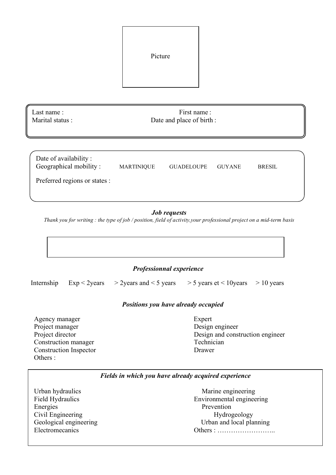| Picture |  |
|---------|--|
|         |  |

Last name : First name : Marital status : Date and place of birth :

| Date of availability:<br>Geographical mobility: | <b>MARTINIQUE</b> | <b>GUADELOUPE</b> | <b>GUYANE</b> | <b>BRESIL</b> |  |
|-------------------------------------------------|-------------------|-------------------|---------------|---------------|--|
| Preferred regions or states :                   |                   |                   |               |               |  |

### *Job requests*

*Thank you for writing : the type of job / position, field of activity,your professional project on a mid-term basis*



### *Professionnal experience*

Internship Exp < 2years  $>$  2years and < 5 years  $>$  5 years et < 10years  $>$  10 years

#### *Positions you have already occupied*

Agency manager Expert Project manager Design engineer Construction manager Technician Construction Inspector Drawer Others :

*ETUDES / DIPLOMES* Project director **Design and construction engineer** 

#### *Fields in which you have already acquired experience*

Urban hydraulics Marine engineering Energies Prevention Civil Engineering Hydrogeology

Field Hydraulics Environmental engineering Geological engineering Urban and local planning Electromecanics Others : ……………………..